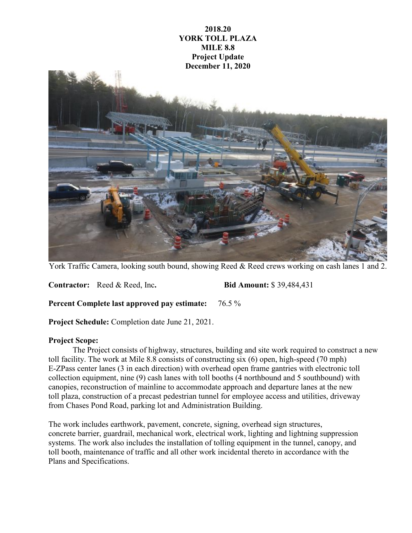

York Traffic Camera, looking south bound, showing Reed & Reed crews working on cash lanes 1 and 2.

**Contractor:** Reed & Reed, Inc**. Bid Amount:** \$ 39,484,431

**Percent Complete last approved pay estimate:** 76.5 %

**Project Schedule:** Completion date June 21, 2021.

## **Project Scope:**

The Project consists of highway, structures, building and site work required to construct a new toll facility. The work at Mile 8.8 consists of constructing six (6) open, high-speed (70 mph) E-ZPass center lanes (3 in each direction) with overhead open frame gantries with electronic toll collection equipment, nine (9) cash lanes with toll booths (4 northbound and 5 southbound) with canopies, reconstruction of mainline to accommodate approach and departure lanes at the new toll plaza, construction of a precast pedestrian tunnel for employee access and utilities, driveway from Chases Pond Road, parking lot and Administration Building.

The work includes earthwork, pavement, concrete, signing, overhead sign structures, concrete barrier, guardrail, mechanical work, electrical work, lighting and lightning suppression systems. The work also includes the installation of tolling equipment in the tunnel, canopy, and toll booth, maintenance of traffic and all other work incidental thereto in accordance with the Plans and Specifications.